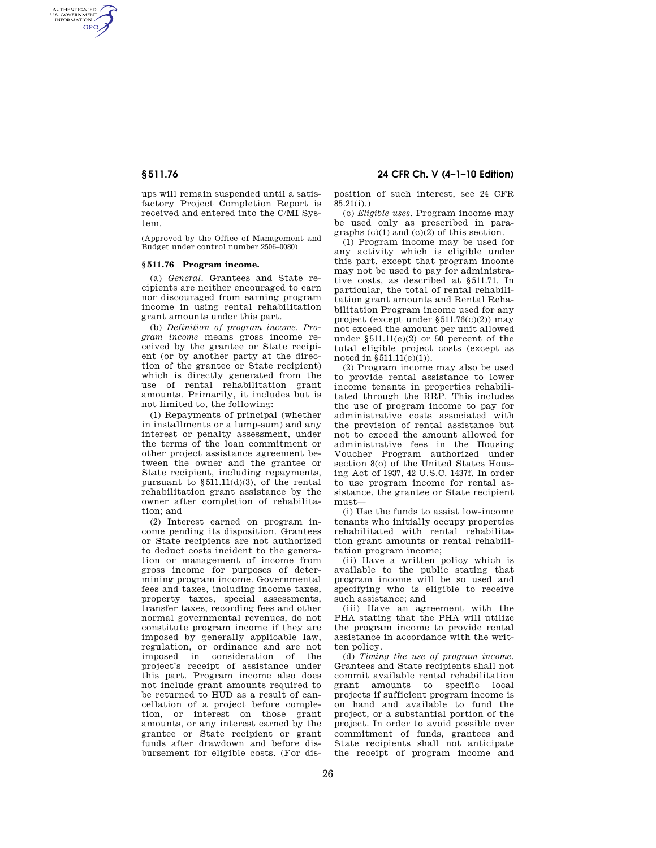AUTHENTICATED<br>U.S. GOVERNMENT<br>INFORMATION **GPO** 

> ups will remain suspended until a satisfactory Project Completion Report is received and entered into the C/MI System.

> (Approved by the Office of Management and Budget under control number 2506–0080)

## **§ 511.76 Program income.**

(a) *General.* Grantees and State recipients are neither encouraged to earn nor discouraged from earning program income in using rental rehabilitation grant amounts under this part.

(b) *Definition of program income. Program income* means gross income received by the grantee or State recipient (or by another party at the direction of the grantee or State recipient) which is directly generated from the use of rental rehabilitation grant amounts. Primarily, it includes but is not limited to, the following:

(1) Repayments of principal (whether in installments or a lump-sum) and any interest or penalty assessment, under the terms of the loan commitment or other project assistance agreement between the owner and the grantee or State recipient, including repayments, pursuant to §511.11(d)(3), of the rental rehabilitation grant assistance by the owner after completion of rehabilitation; and

(2) Interest earned on program income pending its disposition. Grantees or State recipients are not authorized to deduct costs incident to the generation or management of income from gross income for purposes of determining program income. Governmental fees and taxes, including income taxes, property taxes, special assessments, transfer taxes, recording fees and other normal governmental revenues, do not constitute program income if they are imposed by generally applicable law, regulation, or ordinance and are not imposed in consideration of the project's receipt of assistance under this part. Program income also does not include grant amounts required to be returned to HUD as a result of cancellation of a project before completion, or interest on those grant amounts, or any interest earned by the grantee or State recipient or grant funds after drawdown and before disbursement for eligible costs. (For dis-

# **§ 511.76 24 CFR Ch. V (4–1–10 Edition)**

position of such interest, see 24 CFR  $85.21(i)$ .)

(c) *Eligible uses.* Program income may be used only as prescribed in paragraphs  $(c)(1)$  and  $(c)(2)$  of this section.

(1) Program income may be used for any activity which is eligible under this part, except that program income may not be used to pay for administrative costs, as described at §511.71. In particular, the total of rental rehabilitation grant amounts and Rental Rehabilitation Program income used for any project (except under §511.76(c)(2)) may not exceed the amount per unit allowed under  $$511.11(e)(2)$  or 50 percent of the total eligible project costs (except as noted in  $§511.11(e)(1)$ .

(2) Program income may also be used to provide rental assistance to lower income tenants in properties rehabilitated through the RRP. This includes the use of program income to pay for administrative costs associated with the provision of rental assistance but not to exceed the amount allowed for administrative fees in the Housing Voucher Program authorized under section 8(o) of the United States Housing Act of 1937, 42 U.S.C. 1437f. In order to use program income for rental assistance, the grantee or State recipient must—

(i) Use the funds to assist low-income tenants who initially occupy properties rehabilitated with rental rehabilitation grant amounts or rental rehabilitation program income;

(ii) Have a written policy which is available to the public stating that program income will be so used and specifying who is eligible to receive such assistance; and

(iii) Have an agreement with the PHA stating that the PHA will utilize the program income to provide rental assistance in accordance with the written policy.

(d) *Timing the use of program income.*  Grantees and State recipients shall not commit available rental rehabilitation grant amounts to specific local projects if sufficient program income is on hand and available to fund the project, or a substantial portion of the project. In order to avoid possible over commitment of funds, grantees and State recipients shall not anticipate the receipt of program income and